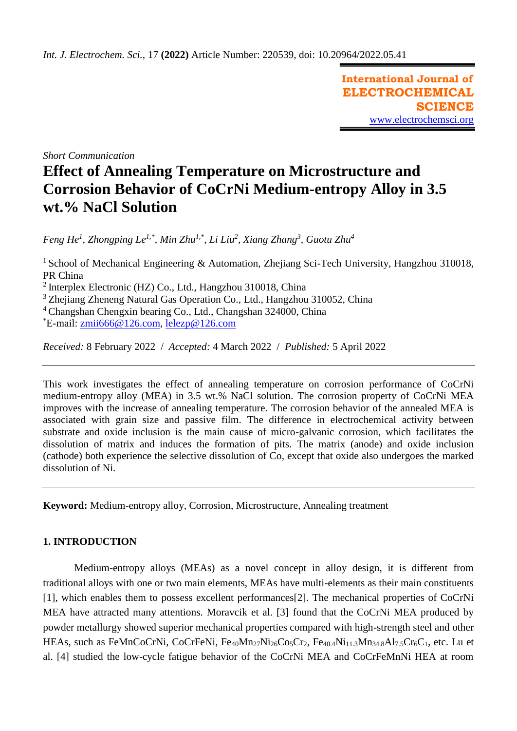**International Journal of ELECTROCHEMICAL SCIENCE** [www.electrochemsci.org](http://www.electrochemsci.org/)

*Short Communication*

# **Effect of Annealing Temperature on Microstructure and Corrosion Behavior of CoCrNi Medium-entropy Alloy in 3.5 wt.% NaCl Solution**

*Feng He<sup>1</sup> , Zhongping Le1,\* , Min Zhu1,\*, Li Liu<sup>2</sup> , Xiang Zhang<sup>3</sup> , Guotu Zhu<sup>4</sup>*

<sup>1</sup> School of Mechanical Engineering & Automation, Zhejiang Sci-Tech University, Hangzhou 310018, PR China

2 Interplex Electronic (HZ) Co., Ltd., Hangzhou 310018, China

<sup>3</sup> Zhejiang Zheneng Natural Gas Operation Co., Ltd., Hangzhou 310052, China

<sup>4</sup>Changshan Chengxin bearing Co., Ltd., Changshan 324000, China

\*E-mail: [zmii666@126.com,](mailto:zmii666@126.com) [lelezp@126.com](mailto:lelezp@126.com)

*Received:* 8 February 2022/ *Accepted:* 4 March 2022 / *Published:* 5 April 2022

This work investigates the effect of annealing temperature on corrosion performance of CoCrNi medium-entropy alloy (MEA) in 3.5 wt.% NaCl solution. The corrosion property of CoCrNi MEA improves with the increase of annealing temperature. The corrosion behavior of the annealed MEA is associated with grain size and passive film. The difference in electrochemical activity between substrate and oxide inclusion is the main cause of micro-galvanic corrosion, which facilitates the dissolution of matrix and induces the formation of pits. The matrix (anode) and oxide inclusion (cathode) both experience the selective dissolution of Co, except that oxide also undergoes the marked dissolution of Ni.

**Keyword:** Medium-entropy alloy, Corrosion, Microstructure, Annealing treatment

# **1. INTRODUCTION**

Medium-entropy alloys (MEAs) as a novel concept in alloy design, it is different from traditional alloys with one or two main elements, MEAs have multi-elements as their main constituents [1], which enables them to possess excellent performances[2]. The mechanical properties of CoCrNi MEA have attracted many attentions. Moravcik et al. [3] found that the CoCrNi MEA produced by powder metallurgy showed superior mechanical properties compared with high-strength steel and other HEAs, such as FeMnCoCrNi, CoCrFeNi, Fe<sub>40</sub>Mn<sub>27</sub>Ni<sub>26</sub>Co<sub>5</sub>Cr<sub>2</sub>, Fe<sub>40.4</sub>Ni<sub>11.3</sub>Mn<sub>34.8</sub>Al<sub>7.5</sub>Cr<sub>6</sub>C<sub>1</sub>, etc. Lu et al. [4] studied the low-cycle fatigue behavior of the CoCrNi MEA and CoCrFeMnNi HEA at room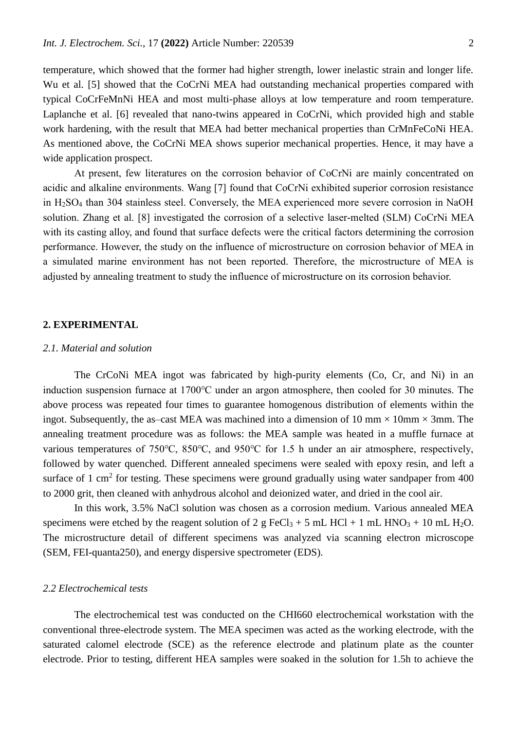temperature, which showed that the former had higher strength, lower inelastic strain and longer life. Wu et al. [5] showed that the CoCrNi MEA had outstanding mechanical properties compared with typical CoCrFeMnNi HEA and most multi-phase alloys at low temperature and room temperature. Laplanche et al. [6] revealed that nano-twins appeared in CoCrNi, which provided high and stable work hardening, with the result that MEA had better mechanical properties than CrMnFeCoNi HEA. As mentioned above, the CoCrNi MEA shows superior mechanical properties. Hence, it may have a wide application prospect.

At present, few literatures on the corrosion behavior of CoCrNi are mainly concentrated on acidic and alkaline environments. Wang [7] found that CoCrNi exhibited superior corrosion resistance in H2SO<sup>4</sup> than 304 stainless steel. Conversely, the MEA experienced more severe corrosion in NaOH solution. Zhang et al. [8] investigated the corrosion of a selective laser-melted (SLM) CoCrNi MEA with its casting alloy, and found that surface defects were the critical factors determining the corrosion performance. However, the study on the influence of microstructure on corrosion behavior of MEA in a simulated marine environment has not been reported. Therefore, the microstructure of MEA is adjusted by annealing treatment to study the influence of microstructure on its corrosion behavior.

# **2. EXPERIMENTAL**

## *2.1. Material and solution*

The CrCoNi MEA ingot was fabricated by high-purity elements (Co, Cr, and Ni) in an induction suspension furnace at 1700℃ under an argon atmosphere, then cooled for 30 minutes. The above process was repeated four times to guarantee homogenous distribution of elements within the ingot. Subsequently, the as–cast MEA was machined into a dimension of 10 mm  $\times$  10mm  $\times$  3mm. The annealing treatment [procedure](javascript:;) was as follows: the MEA sample was heated in a muffle furnace at various temperatures of 750℃, 850℃, and 950℃ for 1.5 h under an air atmosphere, respectively, followed by water quenched. Different annealed specimens were sealed with epoxy resin, and left a surface of 1 cm<sup>2</sup> for testing. These specimens were ground gradually using water sandpaper from  $400$ to 2000 grit, then cleaned with anhydrous alcohol and deionized water, and dried in the cool air.

In this work, 3.5% NaCl solution was chosen as a corrosion medium. Various annealed MEA specimens were etched by the reagent solution of 2 g FeCl<sub>3</sub> + 5 mL HCl + 1 mL HNO<sub>3</sub> + 10 mL H<sub>2</sub>O. The microstructure detail of different specimens was analyzed via scanning electron microscope (SEM, FEI-quanta250), and energy dispersive spectrometer (EDS).

# *2.2 Electrochemical tests*

The electrochemical test was conducted on the CHI660 electrochemical workstation with the conventional three-electrode system. The MEA specimen was acted as the working electrode, with the saturated calomel electrode (SCE) as the reference electrode and platinum plate as the counter electrode. Prior to testing, different HEA samples were soaked in the solution for 1.5h to achieve the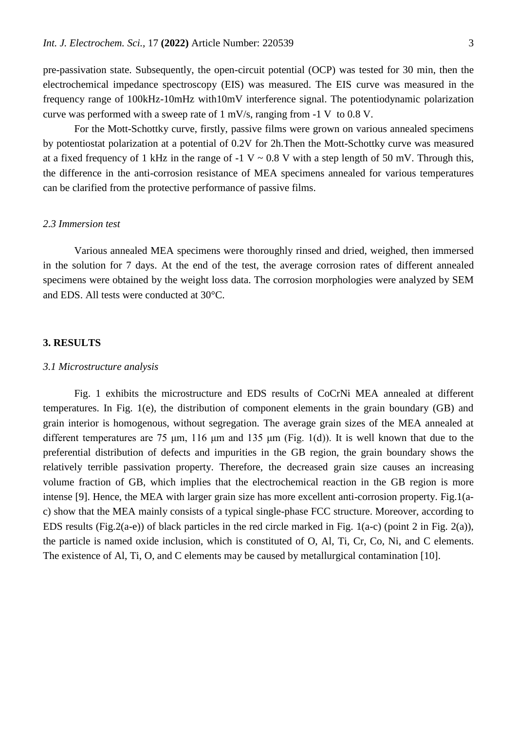pre-passivation state. Subsequently, the open-circuit potential (OCP) was tested for 30 min, then the electrochemical impedance spectroscopy (EIS) was measured. The EIS curve was measured in the frequency range of 100kHz-10mHz with10mV interference signal. The potentiodynamic polarization curve was performed with a sweep rate of 1 mV/s, ranging from -1 V to 0.8 V.

For the Mott-Schottky curve, firstly, passive films were grown on various annealed specimens by potentiostat polarization at a potential of 0.2V for 2h.Then the Mott-Schottky curve was measured at a fixed frequency of 1 kHz in the range of -1 V  $\sim$  0.8 V with a step length of 50 mV. Through this, the difference in the anti-corrosion resistance of MEA specimens annealed for various temperatures can be clarified from the protective performance of passive films.

# *2.3 Immersion test*

Various annealed MEA specimens were thoroughly rinsed and dried, weighed, then immersed in the solution for 7 days. At the end of the test, the average corrosion rates of different annealed specimens were obtained by the weight loss data. The corrosion morphologies were analyzed by SEM and EDS. All tests were conducted at 30°C.

### **3. RESULTS**

# *3.1 Microstructure analysis*

Fig. 1 exhibits the microstructure and EDS results of CoCrNi MEA annealed at different temperatures. In Fig. 1(e), the distribution of component elements in the grain boundary (GB) and grain interior is homogenous, without segregation. The average grain sizes of the MEA annealed at different temperatures are 75 μm, 116 μm and 135 μm (Fig. 1(d)). It is well known that due to the preferential distribution of defects and impurities in the GB region, the grain boundary shows the relatively terrible passivation property. Therefore, the decreased grain size causes an increasing volume fraction of GB, which implies that the electrochemical reaction in the GB region is more intense [9]. Hence, the MEA with larger grain size has more excellent anti-corrosion property. Fig.1(ac) show that the MEA mainly consists of a typical single-phase FCC structure. Moreover, according to EDS results (Fig.2(a-e)) of black particles in the red circle marked in Fig. 1(a-c) (point 2 in Fig. 2(a)), the particle is named oxide inclusion, which is constituted of O, Al, Ti, Cr, Co, Ni, and C elements. The existence of Al, Ti, O, and C elements may be caused by metallurgical contamination [10].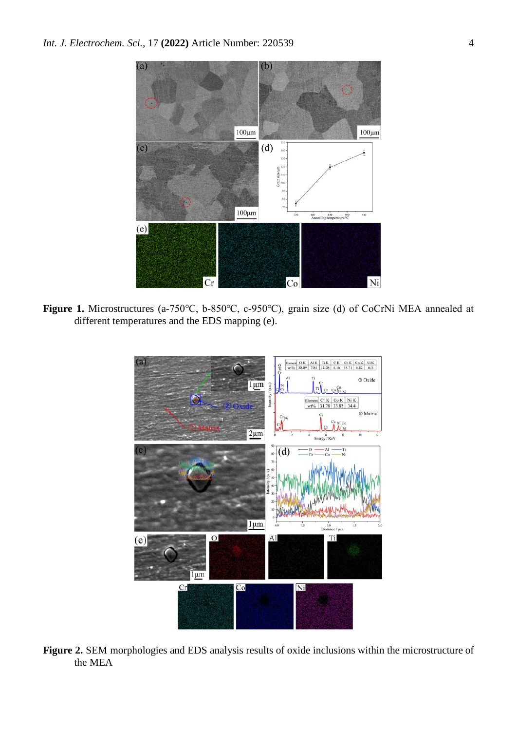

**Figure 1.** Microstructures (a-750℃, b-850℃, c-950℃), grain size (d) of CoCrNi MEA annealed at different temperatures and the EDS mapping (e).



**Figure 2.** SEM morphologies and EDS analysis results of oxide inclusions within the microstructure of the MEA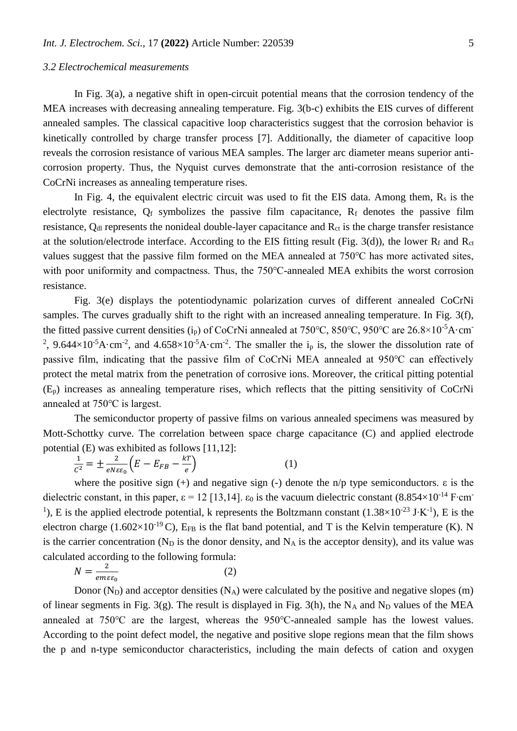#### *3.2 Electrochemical measurements*

In Fig. 3(a), a negative shift in open-circuit potential means that the corrosion tendency of the MEA increases with decreasing annealing temperature. Fig. 3(b-c) exhibits the EIS curves of different annealed samples. The classical capacitive loop characteristics suggest that the corrosion behavior is kinetically controlled by charge transfer process [7]. Additionally, the diameter of capacitive loop reveals the corrosion resistance of various MEA samples. The larger arc diameter means superior anticorrosion property. Thus, the Nyquist curves demonstrate that the anti-corrosion resistance of the CoCrNi increases as annealing temperature rises.

In Fig. 4, the equivalent electric circuit was used to fit the EIS data. Among them,  $R_s$  is the electrolyte resistance,  $Q_f$  symbolizes the passive film capacitance,  $R_f$  denotes the passive film resistance,  $Q_{dI}$  represents the nonideal double-layer capacitance and  $R_{ct}$  is the charge transfer resistance at the solution/electrode interface. According to the EIS fitting result (Fig. 3(d)), the lower  $R_f$  and  $R_{ct}$ values suggest that the passive film formed on the MEA annealed at 750℃ has more activated sites, with poor uniformity and compactness. Thus, the 750°C-annealed MEA exhibits the worst corrosion resistance.

Fig. 3(e) displays the potentiodynamic polarization curves of different annealed CoCrNi samples. The curves gradually shift to the right with an increased annealing temperature. In Fig. 3(f), the fitted passive current densities  $(i<sub>p</sub>)$  of CoCrNi annealed at 750°C, 850°C, 950°C are 26.8×10<sup>-5</sup>A·cm<sup>-</sup> <sup>2</sup>, 9.644×10<sup>-5</sup>A·cm<sup>-2</sup>, and 4.658×10<sup>-5</sup>A·cm<sup>-2</sup>. The smaller the i<sub>p</sub> is, the slower the dissolution rate of passive film, indicating that the passive film of CoCrNi MEA annealed at 950℃ can effectively protect the metal matrix from the penetration of corrosive ions. Moreover, the critical pitting potential (Ep) increases as annealing temperature rises, which reflects that the pitting sensitivity of CoCrNi annealed at 750℃ is largest.

The semiconductor property of passive films on various annealed specimens was measured by Mott-Schottky curve. The correlation between space charge capacitance (C) and applied electrode potential (E) was exhibited as follows [11,12]:

$$
\frac{1}{c^2} = \pm \frac{2}{eN\varepsilon_0} \left( E - E_{FB} - \frac{kT}{e} \right) \tag{1}
$$

where the positive sign (+) and negative sign (-) denote the  $n/p$  type semiconductors.  $\varepsilon$  is the dielectric constant, in this paper,  $\varepsilon = 12$  [13,14].  $\varepsilon_0$  is the vacuum dielectric constant (8.854×10<sup>-14</sup> F⋅cm<sup>-</sup> <sup>1</sup>), E is the applied electrode potential, k represents the Boltzmann constant (1.38×10<sup>-23</sup> J⋅K<sup>-1</sup>), E is the electron charge (1.602×10<sup>-19</sup> C), E<sub>FB</sub> is the flat band potential, and T is the Kelvin temperature (K). N is the carrier concentration ( $N_D$  is the donor density, and  $N_A$  is the acceptor density), and its value was calculated according to the following formula:

$$
N = \frac{2}{em \varepsilon \varepsilon_0} \tag{2}
$$

Donor  $(N_D)$  and acceptor densities  $(N_A)$  were calculated by the positive and negative slopes  $(m)$ of linear segments in Fig. 3(g). The result is displayed in Fig. 3(h), the  $N_A$  and  $N_D$  values of the MEA annealed at 750℃ are the largest, whereas the 950℃-annealed sample has the lowest values. According to the point defect model, the negative and positive slope regions mean that the film shows the p and n-type semiconductor characteristics, including the main defects of cation and oxygen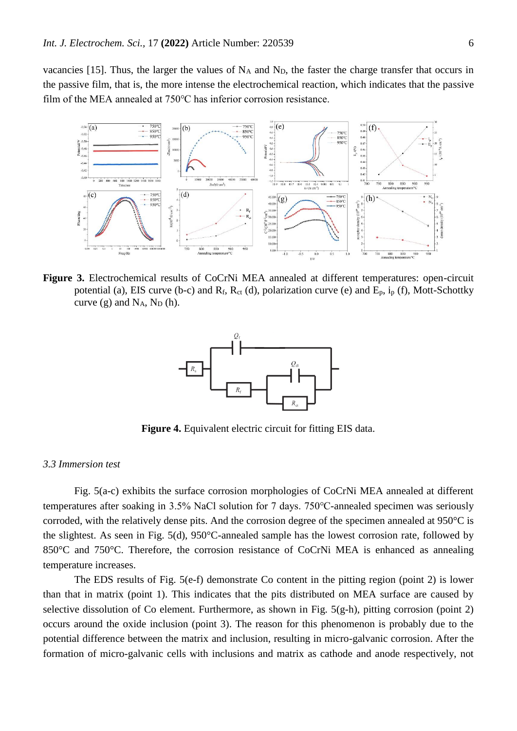vacancies [15]. Thus, the larger the values of  $N_A$  and  $N_D$ , the faster the charge transfer that occurs in the passive film, that is, the more intense the electrochemical reaction, which indicates that the passive film of the MEA annealed at 750℃ has inferior corrosion resistance.



**Figure 3.** Electrochemical results of CoCrNi MEA annealed at different temperatures: open-circuit potential (a), EIS curve (b-c) and  $R_f$ ,  $R_{ct}$  (d), polarization curve (e) and  $E_p$ ,  $i_p$  (f), Mott-Schottky curve  $(g)$  and  $N_A$ ,  $N_D(h)$ .



**Figure 4.** Equivalent electric circuit for fitting EIS data.

### *3.3 Immersion test*

Fig. 5(a-c) exhibits the surface corrosion morphologies of CoCrNi MEA annealed at different temperatures after soaking in 3.5% NaCl solution for 7 days. 750℃-annealed specimen was seriously corroded, with the relatively dense pits. And the corrosion degree of the specimen annealed at 950°C is the slightest. As seen in Fig. 5(d), 950°C-annealed sample has the lowest corrosion rate, followed by 850°C and 750°C. Therefore, the corrosion resistance of CoCrNi MEA is enhanced as annealing temperature increases.

The EDS results of Fig. 5(e-f) demonstrate Co content in the pitting region (point 2) is lower than that in matrix (point 1). This indicates that the pits distributed on MEA surface are caused by selective dissolution of Co element. Furthermore, as shown in Fig. 5(g-h), pitting corrosion (point 2) occurs around the oxide inclusion (point 3). The reason for this phenomenon is probably due to the potential difference between the matrix and inclusion, resulting in micro-galvanic corrosion. After the formation of micro-galvanic cells with inclusions and matrix as cathode and anode respectively, not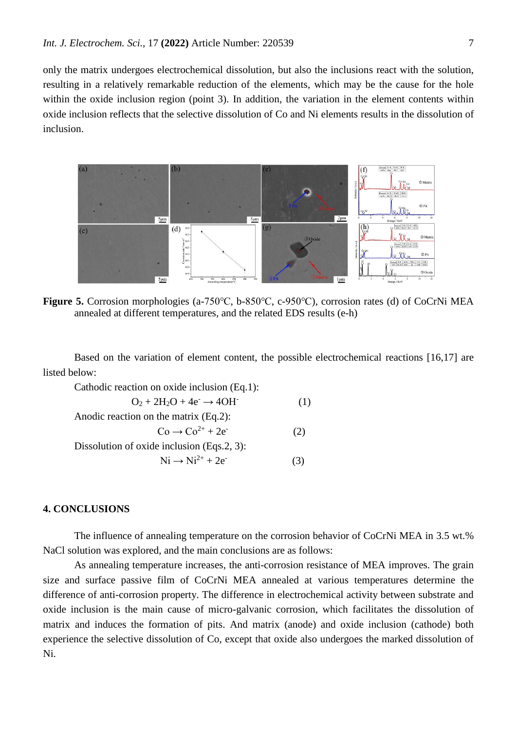only the matrix undergoes electrochemical dissolution, but also the inclusions react with the solution, resulting in a relatively remarkable reduction of the elements, which may be the cause for the hole within the oxide inclusion region (point 3). In addition, the variation in the element contents within oxide inclusion reflects that the selective dissolution of Co and Ni elements results in the dissolution of inclusion.



**Figure 5.** Corrosion morphologies (a-750℃, b-850℃, c-950℃), corrosion rates (d) of CoCrNi MEA annealed at different temperatures, and the related EDS results (e-h)

Based on the variation of element content, the possible electrochemical reactions [16,17] are listed below:

Cathodic reaction on oxide inclusion (Eq.1):  $O_2 + 2H_2O + 4e^- \rightarrow 4OH^-$  (1) Anodic reaction on the matrix (Eq.2):  $Co \rightarrow Co^{2+} + 2e^-$  (2) Dissolution of oxide inclusion (Eqs.2, 3):  $Ni \rightarrow Ni^{2+} + 2e^{-}$ (3)

# **4. CONCLUSIONS**

The influence of annealing temperature on the corrosion behavior of CoCrNi MEA in 3.5 wt.% NaCl solution was explored, and the main conclusions are as follows:

As annealing temperature increases, the anti-corrosion resistance of MEA improves. The grain size and surface passive film of CoCrNi MEA annealed at various temperatures determine the difference of anti-corrosion property. The difference in electrochemical activity between substrate and oxide inclusion is the main cause of micro-galvanic corrosion, which facilitates the dissolution of matrix and induces the formation of pits. And matrix (anode) and oxide inclusion (cathode) both experience the selective dissolution of Co, except that oxide also undergoes the marked dissolution of Ni.